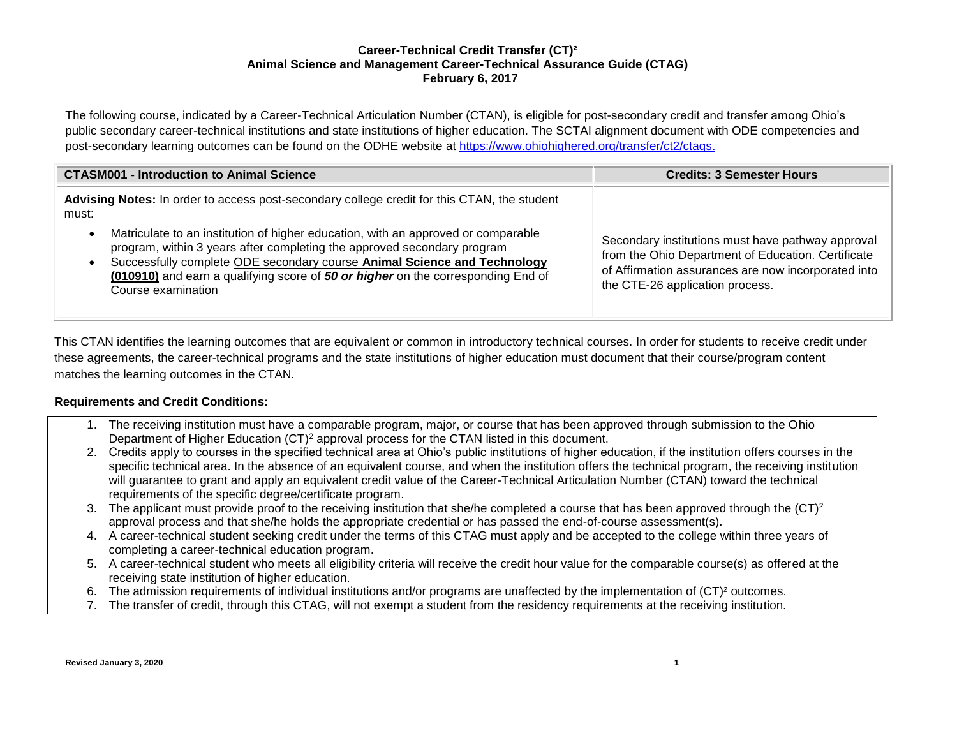# **Career-Technical Credit Transfer (CT)² Animal Science and Management Career-Technical Assurance Guide (CTAG) February 6, 2017**

The following course, indicated by a Career-Technical Articulation Number (CTAN), is eligible for post-secondary credit and transfer among Ohio's public secondary career-technical institutions and state institutions of higher education. The SCTAI alignment document with ODE competencies and post-secondary learning outcomes can be found on the ODHE website at [https://www.ohiohighered.org/transfer/ct2/ctags.](https://www.ohiohighered.org/transfer/ct2/ctags)

| <b>CTASM001 - Introduction to Animal Science</b>                                                                                                                                                                                                                                                                                                   | <b>Credits: 3 Semester Hours</b>                                                                                                                                                                  |
|----------------------------------------------------------------------------------------------------------------------------------------------------------------------------------------------------------------------------------------------------------------------------------------------------------------------------------------------------|---------------------------------------------------------------------------------------------------------------------------------------------------------------------------------------------------|
| Advising Notes: In order to access post-secondary college credit for this CTAN, the student<br>must:                                                                                                                                                                                                                                               |                                                                                                                                                                                                   |
| Matriculate to an institution of higher education, with an approved or comparable<br>program, within 3 years after completing the approved secondary program<br>Successfully complete ODE secondary course Animal Science and Technology<br>(010910) and earn a qualifying score of 50 or higher on the corresponding End of<br>Course examination | Secondary institutions must have pathway approval<br>from the Ohio Department of Education. Certificate<br>of Affirmation assurances are now incorporated into<br>the CTE-26 application process. |

This CTAN identifies the learning outcomes that are equivalent or common in introductory technical courses. In order for students to receive credit under these agreements, the career-technical programs and the state institutions of higher education must document that their course/program content matches the learning outcomes in the CTAN.

# **Requirements and Credit Conditions:**

- 1. The receiving institution must have a comparable program, major, or course that has been approved through submission to the Ohio Department of Higher Education (CT)<sup>2</sup> approval process for the CTAN listed in this document.
- 2. Credits apply to courses in the specified technical area at Ohio's public institutions of higher education, if the institution offers courses in the specific technical area. In the absence of an equivalent course, and when the institution offers the technical program, the receiving institution will guarantee to grant and apply an equivalent credit value of the Career-Technical Articulation Number (CTAN) toward the technical requirements of the specific degree/certificate program.
- 3. The applicant must provide proof to the receiving institution that she/he completed a course that has been approved through the  $(CT)^2$ approval process and that she/he holds the appropriate credential or has passed the end-of-course assessment(s).
- 4. A career-technical student seeking credit under the terms of this CTAG must apply and be accepted to the college within three years of completing a career-technical education program.
- 5. A career-technical student who meets all eligibility criteria will receive the credit hour value for the comparable course(s) as offered at the receiving state institution of higher education.
- 6. The admission requirements of individual institutions and/or programs are unaffected by the implementation of (CT)² outcomes.
- 7. The transfer of credit, through this CTAG, will not exempt a student from the residency requirements at the receiving institution.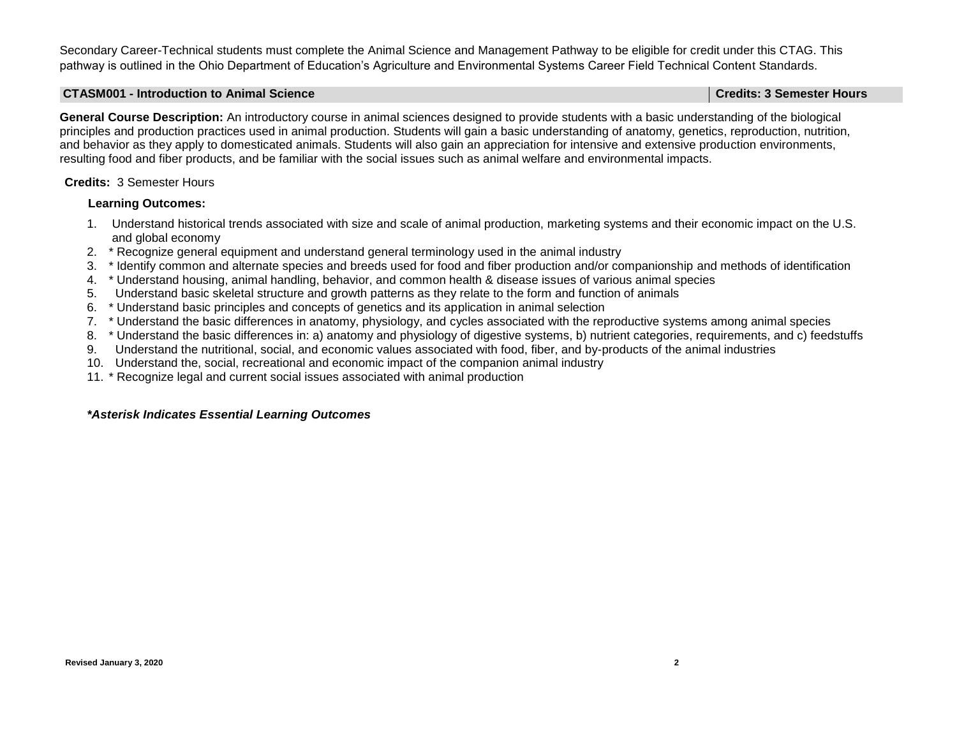Secondary Career-Technical students must complete the Animal Science and Management Pathway to be eligible for credit under this CTAG. This pathway is outlined in the Ohio Department of Education's Agriculture and Environmental Systems Career Field Technical Content Standards.

#### **CTASM001 - Introduction to Animal Science Credits: 3 Semester Hours**

**General Course Description:** An introductory course in animal sciences designed to provide students with a basic understanding of the biological principles and production practices used in animal production. Students will gain a basic understanding of anatomy, genetics, reproduction, nutrition,

and behavior as they apply to domesticated animals. Students will also gain an appreciation for intensive and extensive production environments, resulting food and fiber products, and be familiar with the social issues such as animal welfare and environmental impacts.

## **Credits:** 3 Semester Hours

## **Learning Outcomes:**

- 1. Understand historical trends associated with size and scale of animal production, marketing systems and their economic impact on the U.S. and global economy
- 2. \* Recognize general equipment and understand general terminology used in the animal industry
- 3. \* Identify common and alternate species and breeds used for food and fiber production and/or companionship and methods of identification
- 4. \* Understand housing, animal handling, behavior, and common health & disease issues of various animal species
- 5. Understand basic skeletal structure and growth patterns as they relate to the form and function of animals
- 6. \* Understand basic principles and concepts of genetics and its application in animal selection
- 7. \* Understand the basic differences in anatomy, physiology, and cycles associated with the reproductive systems among animal species
- 8. \* Understand the basic differences in: a) anatomy and physiology of digestive systems, b) nutrient categories, requirements, and c) feedstuffs
- 9. Understand the nutritional, social, and economic values associated with food, fiber, and by-products of the animal industries
- 10. Understand the, social, recreational and economic impact of the companion animal industry
- 11. \* Recognize legal and current social issues associated with animal production

## *\*Asterisk Indicates Essential Learning Outcomes*